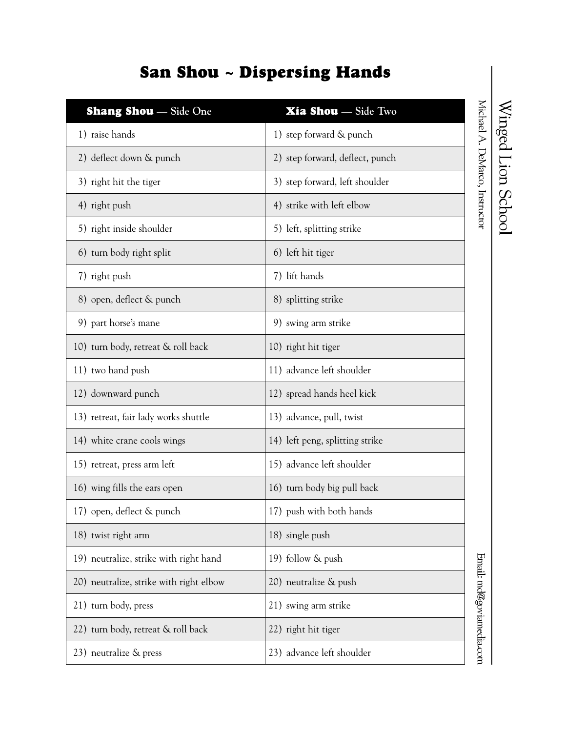## Michael A. DeMarco, Instructor Shang Shou **— Side One** Xia Shou **— Side Two** 1) raise hands 1) step forward & punch 2) deflect down  $\&$  punch 2) step forward, deflect, punch 3) right hit the tiger 3) step forward, left shoulder 4) right push  $\vert$  4) strike with left elbow 5) right inside shoulder (5) left, splitting strike 6) turn body right split 6) left hit tiger 7) right push 7) lift hands 8) open, deflect & punch 8) splitting strike 9) part horse's mane 9) swing arm strike 10) turn body, retreat & roll back 10) right hit tiger 11) two hand push 11) advance left shoulder 12) downward punch 12) spread hands heel kick 13) retreat, fair lady works shuttle (13) advance, pull, twist 14) white crane cools wings 14) left peng, splitting strike 15) retreat, press arm left 15) advance left shoulder 16) wing fills the ears open 16) turn body big pull back 17) open, deflect & punch 17) push with both hands 18) twist right arm 18) single push 19) neutralize, strike with right hand 19) follow & push 20) neutralize, strike with right elbow  $(20)$  neutralize  $\&$  push 21) turn body, press 21) swing arm strike 22) turn body, retreat  $\&$  roll back 22) right hit tiger 23) neutralize & press 23) advance left shoulder

## San Shou ~ Dispersing Hands

Winged Lion School

Email: md@goviamedia.com